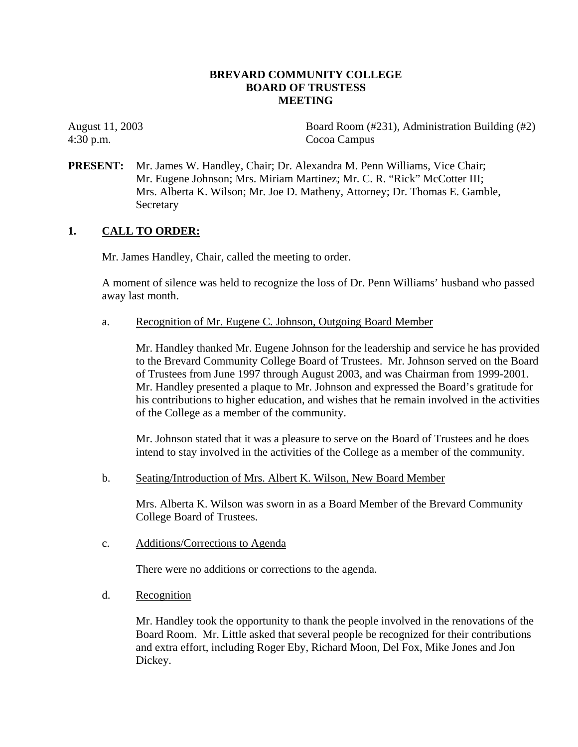### **BREVARD COMMUNITY COLLEGE BOARD OF TRUSTESS MEETING**

4:30 p.m. Cocoa Campus

August 11, 2003 Board Room (#231), Administration Building (#2)

**PRESENT:** Mr. James W. Handley, Chair; Dr. Alexandra M. Penn Williams, Vice Chair; Mr. Eugene Johnson; Mrs. Miriam Martinez; Mr. C. R. "Rick" McCotter III; Mrs. Alberta K. Wilson; Mr. Joe D. Matheny, Attorney; Dr. Thomas E. Gamble, Secretary

### **1. CALL TO ORDER:**

Mr. James Handley, Chair, called the meeting to order.

A moment of silence was held to recognize the loss of Dr. Penn Williams' husband who passed away last month.

a. Recognition of Mr. Eugene C. Johnson, Outgoing Board Member

Mr. Handley thanked Mr. Eugene Johnson for the leadership and service he has provided to the Brevard Community College Board of Trustees. Mr. Johnson served on the Board of Trustees from June 1997 through August 2003, and was Chairman from 1999-2001. Mr. Handley presented a plaque to Mr. Johnson and expressed the Board's gratitude for his contributions to higher education, and wishes that he remain involved in the activities of the College as a member of the community.

Mr. Johnson stated that it was a pleasure to serve on the Board of Trustees and he does intend to stay involved in the activities of the College as a member of the community.

b. Seating/Introduction of Mrs. Albert K. Wilson, New Board Member

Mrs. Alberta K. Wilson was sworn in as a Board Member of the Brevard Community College Board of Trustees.

c. Additions/Corrections to Agenda

There were no additions or corrections to the agenda.

d. Recognition

Mr. Handley took the opportunity to thank the people involved in the renovations of the Board Room. Mr. Little asked that several people be recognized for their contributions and extra effort, including Roger Eby, Richard Moon, Del Fox, Mike Jones and Jon Dickey.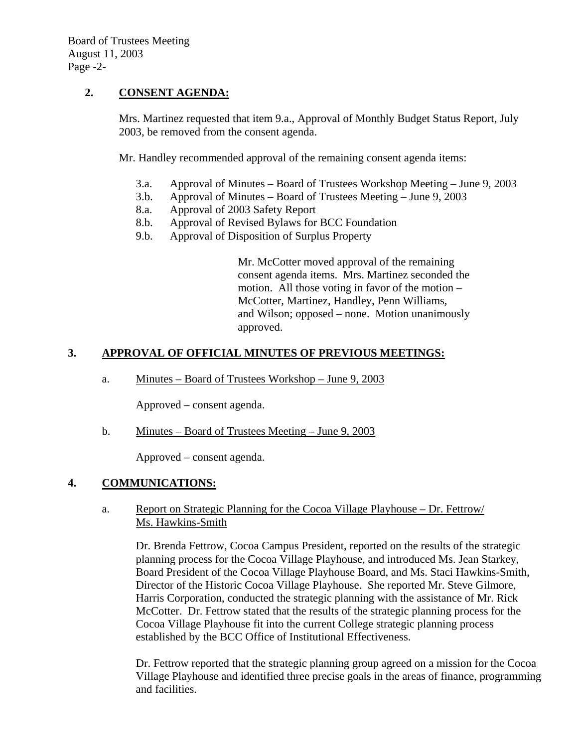# **2. CONSENT AGENDA:**

Mrs. Martinez requested that item 9.a., Approval of Monthly Budget Status Report, July 2003, be removed from the consent agenda.

Mr. Handley recommended approval of the remaining consent agenda items:

- 3.a. Approval of Minutes Board of Trustees Workshop Meeting June 9, 2003
- 3.b. Approval of Minutes Board of Trustees Meeting June 9, 2003
- 8.a. Approval of 2003 Safety Report
- 8.b. Approval of Revised Bylaws for BCC Foundation
- 9.b. Approval of Disposition of Surplus Property

Mr. McCotter moved approval of the remaining consent agenda items. Mrs. Martinez seconded the motion. All those voting in favor of the motion – McCotter, Martinez, Handley, Penn Williams, and Wilson; opposed – none. Motion unanimously approved.

# **3. APPROVAL OF OFFICIAL MINUTES OF PREVIOUS MEETINGS:**

a. Minutes – Board of Trustees Workshop – June 9, 2003

Approved – consent agenda.

b. Minutes – Board of Trustees Meeting – June 9, 2003

Approved – consent agenda.

# **4. COMMUNICATIONS:**

#### a. Report on Strategic Planning for the Cocoa Village Playhouse – Dr. Fettrow/ Ms. Hawkins-Smith

Dr. Brenda Fettrow, Cocoa Campus President, reported on the results of the strategic planning process for the Cocoa Village Playhouse, and introduced Ms. Jean Starkey, Board President of the Cocoa Village Playhouse Board, and Ms. Staci Hawkins-Smith, Director of the Historic Cocoa Village Playhouse. She reported Mr. Steve Gilmore, Harris Corporation, conducted the strategic planning with the assistance of Mr. Rick McCotter. Dr. Fettrow stated that the results of the strategic planning process for the Cocoa Village Playhouse fit into the current College strategic planning process established by the BCC Office of Institutional Effectiveness.

Dr. Fettrow reported that the strategic planning group agreed on a mission for the Cocoa Village Playhouse and identified three precise goals in the areas of finance, programming and facilities.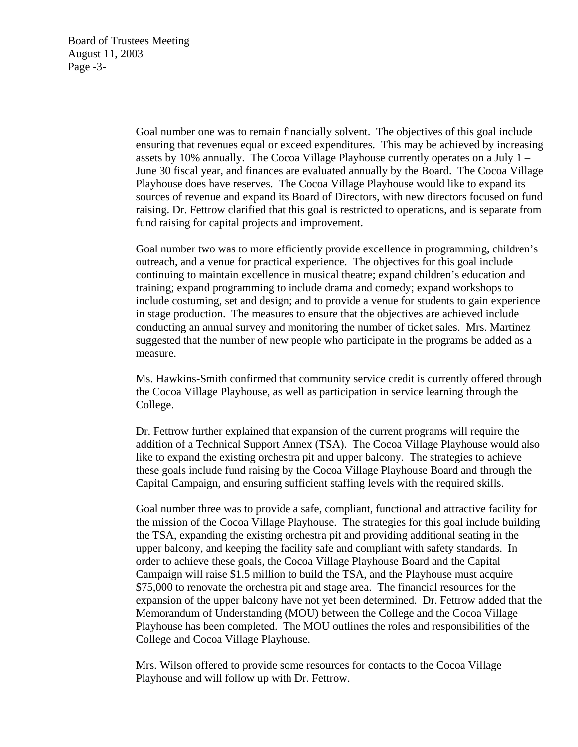Board of Trustees Meeting August 11, 2003 Page -3-

> Goal number one was to remain financially solvent. The objectives of this goal include ensuring that revenues equal or exceed expenditures. This may be achieved by increasing assets by 10% annually. The Cocoa Village Playhouse currently operates on a July 1 – June 30 fiscal year, and finances are evaluated annually by the Board. The Cocoa Village Playhouse does have reserves. The Cocoa Village Playhouse would like to expand its sources of revenue and expand its Board of Directors, with new directors focused on fund raising. Dr. Fettrow clarified that this goal is restricted to operations, and is separate from fund raising for capital projects and improvement.

> Goal number two was to more efficiently provide excellence in programming, children's outreach, and a venue for practical experience. The objectives for this goal include continuing to maintain excellence in musical theatre; expand children's education and training; expand programming to include drama and comedy; expand workshops to include costuming, set and design; and to provide a venue for students to gain experience in stage production. The measures to ensure that the objectives are achieved include conducting an annual survey and monitoring the number of ticket sales. Mrs. Martinez suggested that the number of new people who participate in the programs be added as a measure.

> Ms. Hawkins-Smith confirmed that community service credit is currently offered through the Cocoa Village Playhouse, as well as participation in service learning through the College.

> Dr. Fettrow further explained that expansion of the current programs will require the addition of a Technical Support Annex (TSA). The Cocoa Village Playhouse would also like to expand the existing orchestra pit and upper balcony. The strategies to achieve these goals include fund raising by the Cocoa Village Playhouse Board and through the Capital Campaign, and ensuring sufficient staffing levels with the required skills.

> Goal number three was to provide a safe, compliant, functional and attractive facility for the mission of the Cocoa Village Playhouse. The strategies for this goal include building the TSA, expanding the existing orchestra pit and providing additional seating in the upper balcony, and keeping the facility safe and compliant with safety standards. In order to achieve these goals, the Cocoa Village Playhouse Board and the Capital Campaign will raise \$1.5 million to build the TSA, and the Playhouse must acquire \$75,000 to renovate the orchestra pit and stage area. The financial resources for the expansion of the upper balcony have not yet been determined. Dr. Fettrow added that the Memorandum of Understanding (MOU) between the College and the Cocoa Village Playhouse has been completed. The MOU outlines the roles and responsibilities of the College and Cocoa Village Playhouse.

Mrs. Wilson offered to provide some resources for contacts to the Cocoa Village Playhouse and will follow up with Dr. Fettrow.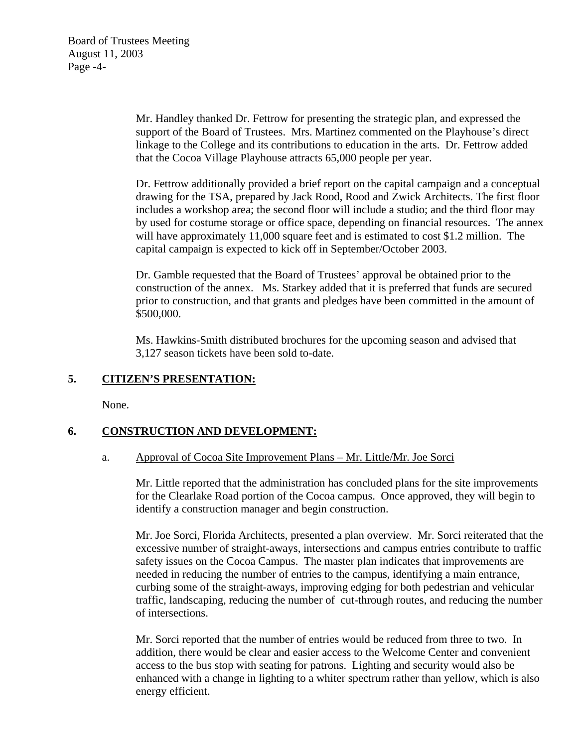Mr. Handley thanked Dr. Fettrow for presenting the strategic plan, and expressed the support of the Board of Trustees. Mrs. Martinez commented on the Playhouse's direct linkage to the College and its contributions to education in the arts. Dr. Fettrow added that the Cocoa Village Playhouse attracts 65,000 people per year.

Dr. Fettrow additionally provided a brief report on the capital campaign and a conceptual drawing for the TSA, prepared by Jack Rood, Rood and Zwick Architects. The first floor includes a workshop area; the second floor will include a studio; and the third floor may by used for costume storage or office space, depending on financial resources. The annex will have approximately 11,000 square feet and is estimated to cost \$1.2 million. The capital campaign is expected to kick off in September/October 2003.

Dr. Gamble requested that the Board of Trustees' approval be obtained prior to the construction of the annex. Ms. Starkey added that it is preferred that funds are secured prior to construction, and that grants and pledges have been committed in the amount of \$500,000.

Ms. Hawkins-Smith distributed brochures for the upcoming season and advised that 3,127 season tickets have been sold to-date.

# **5. CITIZEN'S PRESENTATION:**

None.

# **6. CONSTRUCTION AND DEVELOPMENT:**

# a. Approval of Cocoa Site Improvement Plans – Mr. Little/Mr. Joe Sorci

Mr. Little reported that the administration has concluded plans for the site improvements for the Clearlake Road portion of the Cocoa campus. Once approved, they will begin to identify a construction manager and begin construction.

Mr. Joe Sorci, Florida Architects, presented a plan overview. Mr. Sorci reiterated that the excessive number of straight-aways, intersections and campus entries contribute to traffic safety issues on the Cocoa Campus. The master plan indicates that improvements are needed in reducing the number of entries to the campus, identifying a main entrance, curbing some of the straight-aways, improving edging for both pedestrian and vehicular traffic, landscaping, reducing the number of cut-through routes, and reducing the number of intersections.

Mr. Sorci reported that the number of entries would be reduced from three to two. In addition, there would be clear and easier access to the Welcome Center and convenient access to the bus stop with seating for patrons. Lighting and security would also be enhanced with a change in lighting to a whiter spectrum rather than yellow, which is also energy efficient.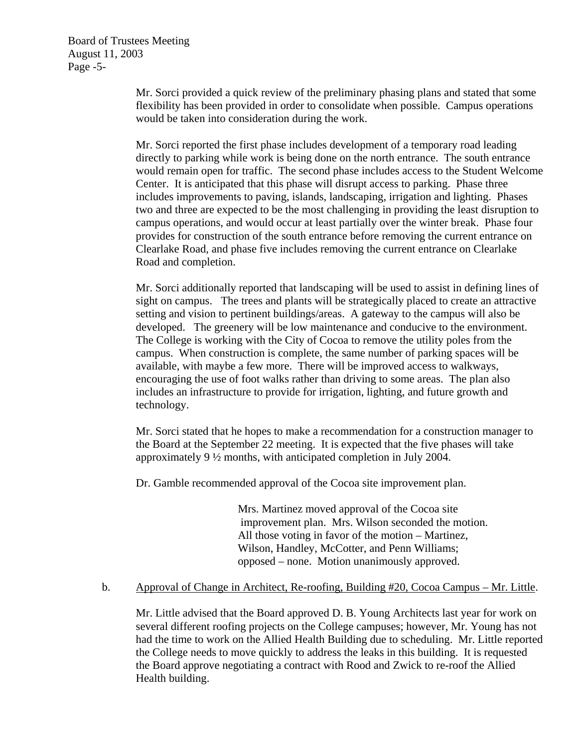Board of Trustees Meeting August 11, 2003 Page -5-

> Mr. Sorci provided a quick review of the preliminary phasing plans and stated that some flexibility has been provided in order to consolidate when possible. Campus operations would be taken into consideration during the work.

Mr. Sorci reported the first phase includes development of a temporary road leading directly to parking while work is being done on the north entrance. The south entrance would remain open for traffic. The second phase includes access to the Student Welcome Center. It is anticipated that this phase will disrupt access to parking. Phase three includes improvements to paving, islands, landscaping, irrigation and lighting. Phases two and three are expected to be the most challenging in providing the least disruption to campus operations, and would occur at least partially over the winter break. Phase four provides for construction of the south entrance before removing the current entrance on Clearlake Road, and phase five includes removing the current entrance on Clearlake Road and completion.

Mr. Sorci additionally reported that landscaping will be used to assist in defining lines of sight on campus. The trees and plants will be strategically placed to create an attractive setting and vision to pertinent buildings/areas. A gateway to the campus will also be developed. The greenery will be low maintenance and conducive to the environment. The College is working with the City of Cocoa to remove the utility poles from the campus. When construction is complete, the same number of parking spaces will be available, with maybe a few more. There will be improved access to walkways, encouraging the use of foot walks rather than driving to some areas. The plan also includes an infrastructure to provide for irrigation, lighting, and future growth and technology.

Mr. Sorci stated that he hopes to make a recommendation for a construction manager to the Board at the September 22 meeting. It is expected that the five phases will take approximately 9 ½ months, with anticipated completion in July 2004.

Dr. Gamble recommended approval of the Cocoa site improvement plan.

Mrs. Martinez moved approval of the Cocoa site improvement plan. Mrs. Wilson seconded the motion. All those voting in favor of the motion – Martinez, Wilson, Handley, McCotter, and Penn Williams; opposed – none. Motion unanimously approved.

# b. Approval of Change in Architect, Re-roofing, Building #20, Cocoa Campus – Mr. Little.

Mr. Little advised that the Board approved D. B. Young Architects last year for work on several different roofing projects on the College campuses; however, Mr. Young has not had the time to work on the Allied Health Building due to scheduling. Mr. Little reported the College needs to move quickly to address the leaks in this building. It is requested the Board approve negotiating a contract with Rood and Zwick to re-roof the Allied Health building.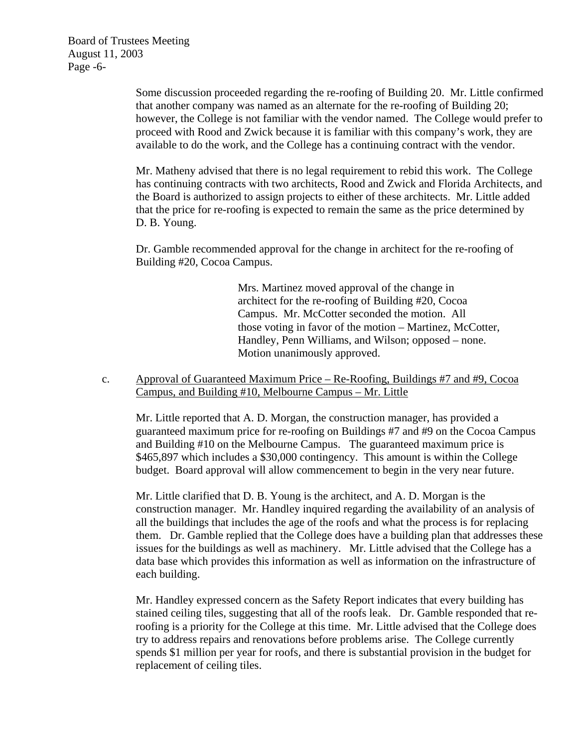Board of Trustees Meeting August 11, 2003 Page -6-

> Some discussion proceeded regarding the re-roofing of Building 20. Mr. Little confirmed that another company was named as an alternate for the re-roofing of Building 20; however, the College is not familiar with the vendor named. The College would prefer to proceed with Rood and Zwick because it is familiar with this company's work, they are available to do the work, and the College has a continuing contract with the vendor.

> Mr. Matheny advised that there is no legal requirement to rebid this work. The College has continuing contracts with two architects, Rood and Zwick and Florida Architects, and the Board is authorized to assign projects to either of these architects. Mr. Little added that the price for re-roofing is expected to remain the same as the price determined by D. B. Young.

Dr. Gamble recommended approval for the change in architect for the re-roofing of Building #20, Cocoa Campus.

> Mrs. Martinez moved approval of the change in architect for the re-roofing of Building #20, Cocoa Campus. Mr. McCotter seconded the motion. All those voting in favor of the motion – Martinez, McCotter, Handley, Penn Williams, and Wilson; opposed – none. Motion unanimously approved.

c. Approval of Guaranteed Maximum Price – Re-Roofing, Buildings #7 and #9, Cocoa Campus, and Building #10, Melbourne Campus – Mr. Little

Mr. Little reported that A. D. Morgan, the construction manager, has provided a guaranteed maximum price for re-roofing on Buildings #7 and #9 on the Cocoa Campus and Building #10 on the Melbourne Campus. The guaranteed maximum price is \$465,897 which includes a \$30,000 contingency. This amount is within the College budget. Board approval will allow commencement to begin in the very near future.

Mr. Little clarified that D. B. Young is the architect, and A. D. Morgan is the construction manager. Mr. Handley inquired regarding the availability of an analysis of all the buildings that includes the age of the roofs and what the process is for replacing them. Dr. Gamble replied that the College does have a building plan that addresses these issues for the buildings as well as machinery. Mr. Little advised that the College has a data base which provides this information as well as information on the infrastructure of each building.

Mr. Handley expressed concern as the Safety Report indicates that every building has stained ceiling tiles, suggesting that all of the roofs leak. Dr. Gamble responded that reroofing is a priority for the College at this time. Mr. Little advised that the College does try to address repairs and renovations before problems arise. The College currently spends \$1 million per year for roofs, and there is substantial provision in the budget for replacement of ceiling tiles.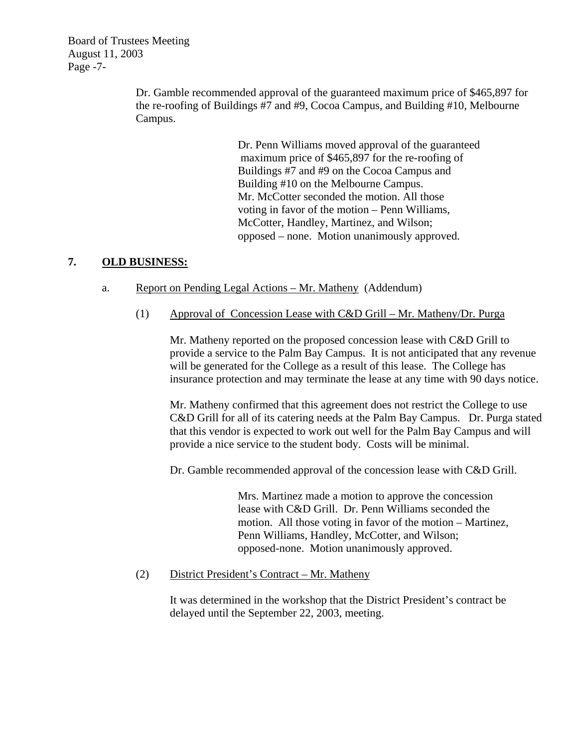Board of Trustees Meeting August 11, 2003 Page -7-

> Dr. Gamble recommended approval of the guaranteed maximum price of \$465,897 for the re-roofing of Buildings #7 and #9, Cocoa Campus, and Building #10, Melbourne Campus.

> > Dr. Penn Williams moved approval of the guaranteed maximum price of \$465,897 for the re-roofing of Buildings #7 and #9 on the Cocoa Campus and Building #10 on the Melbourne Campus. Mr. McCotter seconded the motion. All those voting in favor of the motion – Penn Williams, McCotter, Handley, Martinez, and Wilson; opposed – none. Motion unanimously approved.

### **7. OLD BUSINESS:**

- a. Report on Pending Legal Actions Mr. Matheny (Addendum)
	- (1) Approval of Concession Lease with C&D Grill Mr. Matheny/Dr. Purga

Mr. Matheny reported on the proposed concession lease with C&D Grill to provide a service to the Palm Bay Campus. It is not anticipated that any revenue will be generated for the College as a result of this lease. The College has insurance protection and may terminate the lease at any time with 90 days notice.

Mr. Matheny confirmed that this agreement does not restrict the College to use C&D Grill for all of its catering needs at the Palm Bay Campus. Dr. Purga stated that this vendor is expected to work out well for the Palm Bay Campus and will provide a nice service to the student body. Costs will be minimal.

Dr. Gamble recommended approval of the concession lease with C&D Grill.

Mrs. Martinez made a motion to approve the concession lease with C&D Grill. Dr. Penn Williams seconded the motion. All those voting in favor of the motion – Martinez, Penn Williams, Handley, McCotter, and Wilson; opposed-none. Motion unanimously approved.

(2) District President's Contract – Mr. Matheny

It was determined in the workshop that the District President's contract be delayed until the September 22, 2003, meeting.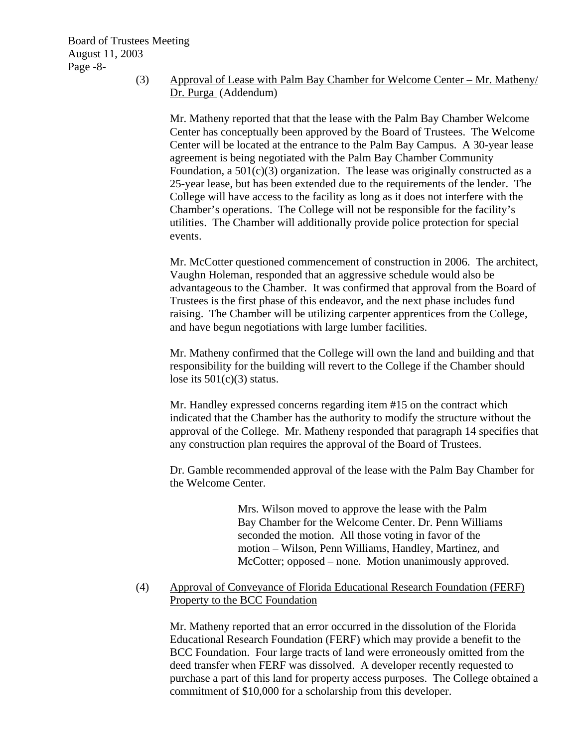# (3) Approval of Lease with Palm Bay Chamber for Welcome Center – Mr. Matheny/ Dr. Purga (Addendum)

Mr. Matheny reported that that the lease with the Palm Bay Chamber Welcome Center has conceptually been approved by the Board of Trustees. The Welcome Center will be located at the entrance to the Palm Bay Campus. A 30-year lease agreement is being negotiated with the Palm Bay Chamber Community Foundation, a  $501(c)(3)$  organization. The lease was originally constructed as a 25-year lease, but has been extended due to the requirements of the lender. The College will have access to the facility as long as it does not interfere with the Chamber's operations. The College will not be responsible for the facility's utilities. The Chamber will additionally provide police protection for special events.

Mr. McCotter questioned commencement of construction in 2006. The architect, Vaughn Holeman, responded that an aggressive schedule would also be advantageous to the Chamber. It was confirmed that approval from the Board of Trustees is the first phase of this endeavor, and the next phase includes fund raising. The Chamber will be utilizing carpenter apprentices from the College, and have begun negotiations with large lumber facilities.

Mr. Matheny confirmed that the College will own the land and building and that responsibility for the building will revert to the College if the Chamber should lose its  $501(c)(3)$  status.

Mr. Handley expressed concerns regarding item #15 on the contract which indicated that the Chamber has the authority to modify the structure without the approval of the College. Mr. Matheny responded that paragraph 14 specifies that any construction plan requires the approval of the Board of Trustees.

Dr. Gamble recommended approval of the lease with the Palm Bay Chamber for the Welcome Center.

> Mrs. Wilson moved to approve the lease with the Palm Bay Chamber for the Welcome Center. Dr. Penn Williams seconded the motion. All those voting in favor of the motion – Wilson, Penn Williams, Handley, Martinez, and McCotter; opposed – none. Motion unanimously approved.

# (4) Approval of Conveyance of Florida Educational Research Foundation (FERF) Property to the BCC Foundation

 Mr. Matheny reported that an error occurred in the dissolution of the Florida Educational Research Foundation (FERF) which may provide a benefit to the BCC Foundation. Four large tracts of land were erroneously omitted from the deed transfer when FERF was dissolved. A developer recently requested to purchase a part of this land for property access purposes. The College obtained a commitment of \$10,000 for a scholarship from this developer.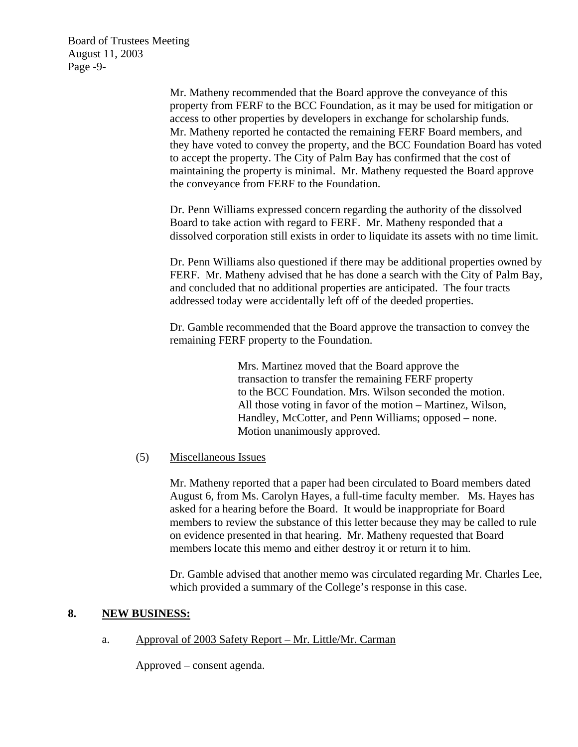Board of Trustees Meeting August 11, 2003 Page -9-

> Mr. Matheny recommended that the Board approve the conveyance of this property from FERF to the BCC Foundation, as it may be used for mitigation or access to other properties by developers in exchange for scholarship funds. Mr. Matheny reported he contacted the remaining FERF Board members, and they have voted to convey the property, and the BCC Foundation Board has voted to accept the property. The City of Palm Bay has confirmed that the cost of maintaining the property is minimal. Mr. Matheny requested the Board approve the conveyance from FERF to the Foundation.

Dr. Penn Williams expressed concern regarding the authority of the dissolved Board to take action with regard to FERF. Mr. Matheny responded that a dissolved corporation still exists in order to liquidate its assets with no time limit.

Dr. Penn Williams also questioned if there may be additional properties owned by FERF. Mr. Matheny advised that he has done a search with the City of Palm Bay, and concluded that no additional properties are anticipated. The four tracts addressed today were accidentally left off of the deeded properties.

Dr. Gamble recommended that the Board approve the transaction to convey the remaining FERF property to the Foundation.

> Mrs. Martinez moved that the Board approve the transaction to transfer the remaining FERF property to the BCC Foundation. Mrs. Wilson seconded the motion. All those voting in favor of the motion – Martinez, Wilson, Handley, McCotter, and Penn Williams; opposed – none. Motion unanimously approved.

#### (5) Miscellaneous Issues

Mr. Matheny reported that a paper had been circulated to Board members dated August 6, from Ms. Carolyn Hayes, a full-time faculty member. Ms. Hayes has asked for a hearing before the Board. It would be inappropriate for Board members to review the substance of this letter because they may be called to rule on evidence presented in that hearing. Mr. Matheny requested that Board members locate this memo and either destroy it or return it to him.

Dr. Gamble advised that another memo was circulated regarding Mr. Charles Lee, which provided a summary of the College's response in this case.

#### **8. NEW BUSINESS:**

a. Approval of 2003 Safety Report – Mr. Little/Mr. Carman

Approved – consent agenda.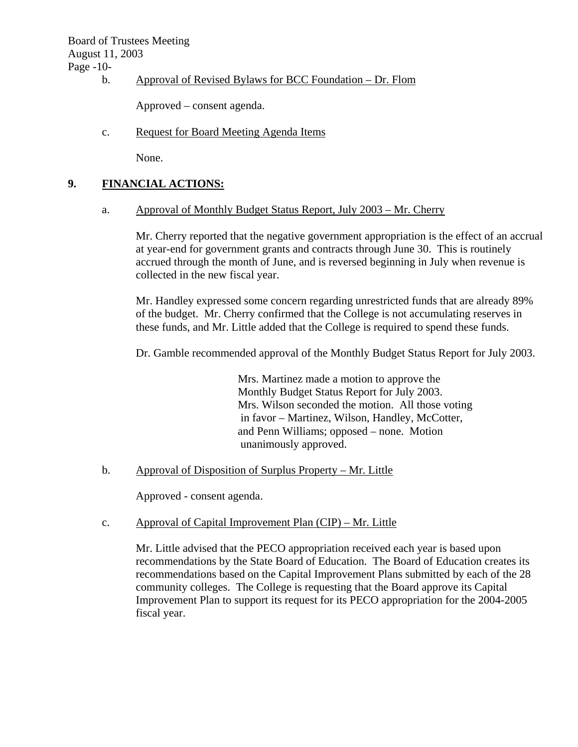Board of Trustees Meeting August 11, 2003

Page -10-

b. Approval of Revised Bylaws for BCC Foundation – Dr. Flom

Approved – consent agenda.

c. Request for Board Meeting Agenda Items

None.

### **9. FINANCIAL ACTIONS:**

a. Approval of Monthly Budget Status Report, July 2003 – Mr. Cherry

Mr. Cherry reported that the negative government appropriation is the effect of an accrual at year-end for government grants and contracts through June 30. This is routinely accrued through the month of June, and is reversed beginning in July when revenue is collected in the new fiscal year.

Mr. Handley expressed some concern regarding unrestricted funds that are already 89% of the budget. Mr. Cherry confirmed that the College is not accumulating reserves in these funds, and Mr. Little added that the College is required to spend these funds.

Dr. Gamble recommended approval of the Monthly Budget Status Report for July 2003.

Mrs. Martinez made a motion to approve the Monthly Budget Status Report for July 2003. Mrs. Wilson seconded the motion. All those voting in favor – Martinez, Wilson, Handley, McCotter, and Penn Williams; opposed – none. Motion unanimously approved.

b. Approval of Disposition of Surplus Property – Mr. Little

Approved - consent agenda.

#### c. Approval of Capital Improvement Plan (CIP) – Mr. Little

Mr. Little advised that the PECO appropriation received each year is based upon recommendations by the State Board of Education. The Board of Education creates its recommendations based on the Capital Improvement Plans submitted by each of the 28 community colleges. The College is requesting that the Board approve its Capital Improvement Plan to support its request for its PECO appropriation for the 2004-2005 fiscal year.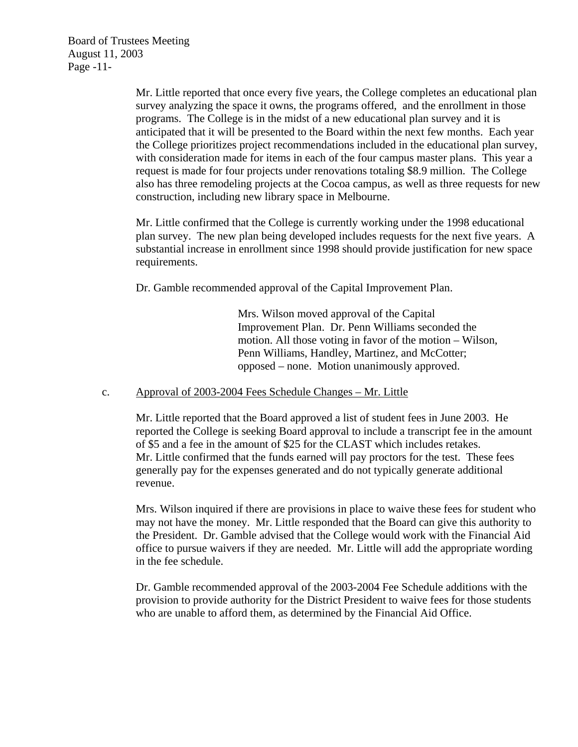Board of Trustees Meeting August 11, 2003 Page -11-

> Mr. Little reported that once every five years, the College completes an educational plan survey analyzing the space it owns, the programs offered, and the enrollment in those programs. The College is in the midst of a new educational plan survey and it is anticipated that it will be presented to the Board within the next few months. Each year the College prioritizes project recommendations included in the educational plan survey, with consideration made for items in each of the four campus master plans. This year a request is made for four projects under renovations totaling \$8.9 million. The College also has three remodeling projects at the Cocoa campus, as well as three requests for new construction, including new library space in Melbourne.

Mr. Little confirmed that the College is currently working under the 1998 educational plan survey. The new plan being developed includes requests for the next five years. A substantial increase in enrollment since 1998 should provide justification for new space requirements.

Dr. Gamble recommended approval of the Capital Improvement Plan.

Mrs. Wilson moved approval of the Capital Improvement Plan. Dr. Penn Williams seconded the motion. All those voting in favor of the motion – Wilson, Penn Williams, Handley, Martinez, and McCotter; opposed – none. Motion unanimously approved.

#### c. Approval of 2003-2004 Fees Schedule Changes – Mr. Little

Mr. Little reported that the Board approved a list of student fees in June 2003. He reported the College is seeking Board approval to include a transcript fee in the amount of \$5 and a fee in the amount of \$25 for the CLAST which includes retakes. Mr. Little confirmed that the funds earned will pay proctors for the test. These fees generally pay for the expenses generated and do not typically generate additional revenue.

Mrs. Wilson inquired if there are provisions in place to waive these fees for student who may not have the money. Mr. Little responded that the Board can give this authority to the President. Dr. Gamble advised that the College would work with the Financial Aid office to pursue waivers if they are needed. Mr. Little will add the appropriate wording in the fee schedule.

Dr. Gamble recommended approval of the 2003-2004 Fee Schedule additions with the provision to provide authority for the District President to waive fees for those students who are unable to afford them, as determined by the Financial Aid Office.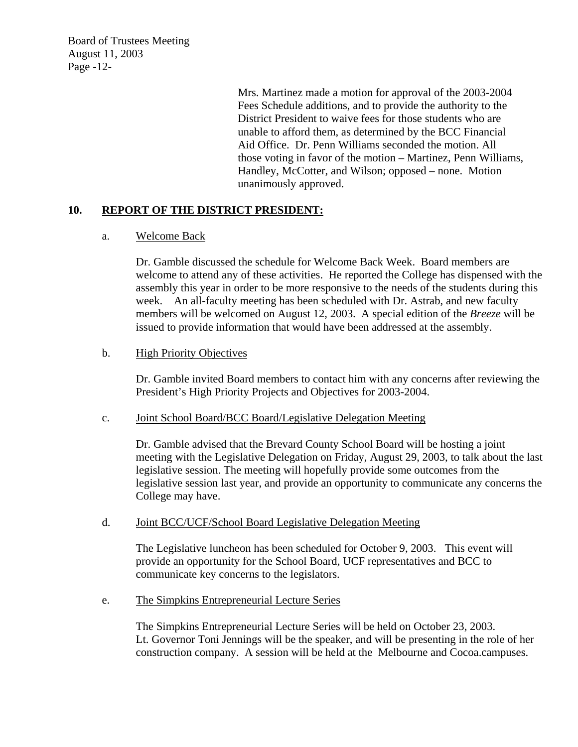Board of Trustees Meeting August 11, 2003 Page -12-

> Mrs. Martinez made a motion for approval of the 2003-2004 Fees Schedule additions, and to provide the authority to the District President to waive fees for those students who are unable to afford them, as determined by the BCC Financial Aid Office. Dr. Penn Williams seconded the motion. All those voting in favor of the motion – Martinez, Penn Williams, Handley, McCotter, and Wilson; opposed – none. Motion unanimously approved.

# **10. REPORT OF THE DISTRICT PRESIDENT:**

#### a. Welcome Back

Dr. Gamble discussed the schedule for Welcome Back Week. Board members are welcome to attend any of these activities. He reported the College has dispensed with the assembly this year in order to be more responsive to the needs of the students during this week. An all-faculty meeting has been scheduled with Dr. Astrab, and new faculty members will be welcomed on August 12, 2003. A special edition of the *Breeze* will be issued to provide information that would have been addressed at the assembly.

### b. High Priority Objectives

Dr. Gamble invited Board members to contact him with any concerns after reviewing the President's High Priority Projects and Objectives for 2003-2004.

#### c. Joint School Board/BCC Board/Legislative Delegation Meeting

Dr. Gamble advised that the Brevard County School Board will be hosting a joint meeting with the Legislative Delegation on Friday, August 29, 2003, to talk about the last legislative session. The meeting will hopefully provide some outcomes from the legislative session last year, and provide an opportunity to communicate any concerns the College may have.

#### d. Joint BCC/UCF/School Board Legislative Delegation Meeting

The Legislative luncheon has been scheduled for October 9, 2003. This event will provide an opportunity for the School Board, UCF representatives and BCC to communicate key concerns to the legislators.

#### e. The Simpkins Entrepreneurial Lecture Series

The Simpkins Entrepreneurial Lecture Series will be held on October 23, 2003. Lt. Governor Toni Jennings will be the speaker, and will be presenting in the role of her construction company. A session will be held at the Melbourne and Cocoa.campuses.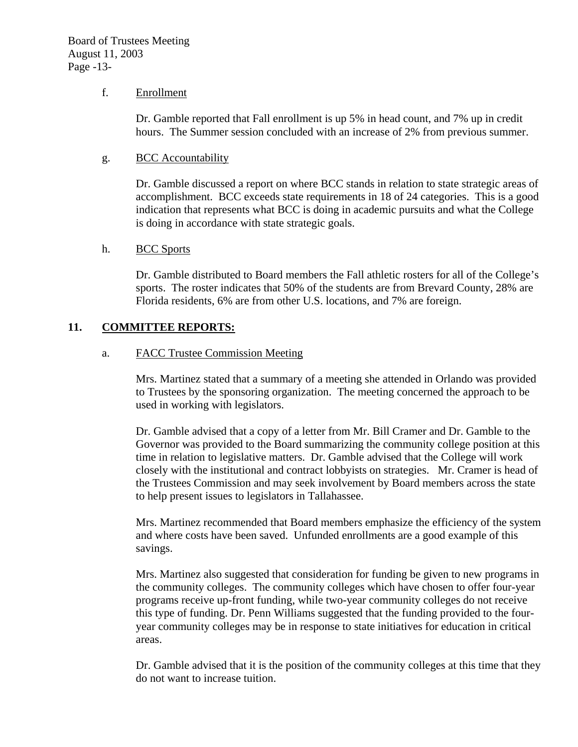#### f. Enrollment

Dr. Gamble reported that Fall enrollment is up 5% in head count, and 7% up in credit hours. The Summer session concluded with an increase of 2% from previous summer.

### g. BCC Accountability

Dr. Gamble discussed a report on where BCC stands in relation to state strategic areas of accomplishment. BCC exceeds state requirements in 18 of 24 categories. This is a good indication that represents what BCC is doing in academic pursuits and what the College is doing in accordance with state strategic goals.

#### h. BCC Sports

Dr. Gamble distributed to Board members the Fall athletic rosters for all of the College's sports. The roster indicates that 50% of the students are from Brevard County, 28% are Florida residents, 6% are from other U.S. locations, and 7% are foreign.

### **11. COMMITTEE REPORTS:**

### a. FACC Trustee Commission Meeting

Mrs. Martinez stated that a summary of a meeting she attended in Orlando was provided to Trustees by the sponsoring organization. The meeting concerned the approach to be used in working with legislators.

Dr. Gamble advised that a copy of a letter from Mr. Bill Cramer and Dr. Gamble to the Governor was provided to the Board summarizing the community college position at this time in relation to legislative matters. Dr. Gamble advised that the College will work closely with the institutional and contract lobbyists on strategies. Mr. Cramer is head of the Trustees Commission and may seek involvement by Board members across the state to help present issues to legislators in Tallahassee.

Mrs. Martinez recommended that Board members emphasize the efficiency of the system and where costs have been saved. Unfunded enrollments are a good example of this savings.

Mrs. Martinez also suggested that consideration for funding be given to new programs in the community colleges. The community colleges which have chosen to offer four-year programs receive up-front funding, while two-year community colleges do not receive this type of funding. Dr. Penn Williams suggested that the funding provided to the fouryear community colleges may be in response to state initiatives for education in critical areas.

Dr. Gamble advised that it is the position of the community colleges at this time that they do not want to increase tuition.